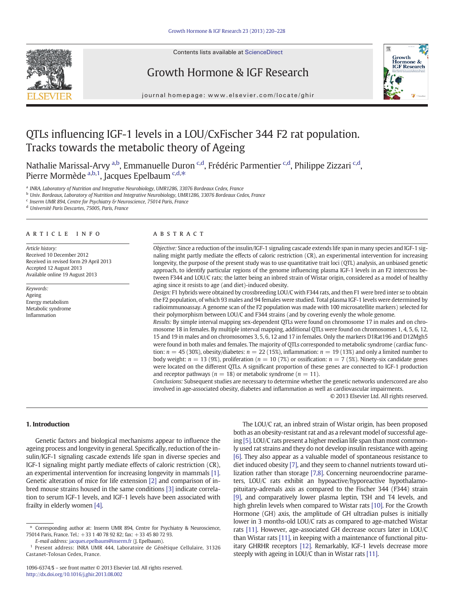

# Growth Hormone & IGF Research



journal homepage: www.elsevier.com/locate/ghir

# QTLs influencing IGF-1 levels in a LOU/CxFischer 344 F2 rat population. Tracks towards the metabolic theory of Ageing

Nathalie Marissal-Arvy <sup>a,b</sup>, Emmanuelle Duron <sup>c,d</sup>, Frédéric Parmentier <sup>c,d</sup>, Philippe Zizzari <sup>c,d</sup>, Pierre Mormède <sup>a,b,1</sup>, Jacques Epelbaum <sup>c,d,\*</sup>

a INRA, Laboratory of Nutrition and Integrative Neurobiology, UMR1286, 33076 Bordeaux Cedex, France

<sup>b</sup> Univ. Bordeaux, Laboratory of Nutrition and Integrative Neurobiology, UMR1286, 33076 Bordeaux Cedex, France

<sup>c</sup> Inserm UMR 894, Centre for Psychiatry & Neuroscience, 75014 Paris, France

<sup>d</sup> Université Paris Descartes, 75005, Paris, France

#### article info abstract

Article history: Received 10 December 2012 Received in revised form 29 April 2013 Accepted 12 August 2013 Available online 19 August 2013

Keywords: Ageing Energy metabolism Metabolic syndrome Inflammation

Objective: Since a reduction of the insulin/IGF-1 signaling cascade extends life span in many species and IGF-1 signaling might partly mediate the effects of caloric restriction (CR), an experimental intervention for increasing longevity, the purpose of the present study was to use quantitative trait loci (QTL) analysis, an unbiased genetic approach, to identify particular regions of the genome influencing plasma IGF-1 levels in an F2 intercross between F344 and LOU/C rats; the latter being an inbred strain of Wistar origin, considered as a model of healthy aging since it resists to age (and diet)-induced obesity.

Design: F1 hybrids were obtained by crossbreeding LOU/C with F344 rats, and then F1 were bred inter se to obtain the F2 population, of which 93 males and 94 females were studied. Total plasma IGF-1 levels were determined by radioimmunoassay. A genome scan of the F2 population was made with 100 microsatellite markers) selected for their polymorphism between LOU/C and F344 strains (and by covering evenly the whole genome.

Results: By simple interval mapping sex-dependent QTLs were found on chromosome 17 in males and on chromosome 18 in females. By multiple interval mapping, additional QTLs were found on chromosomes 1, 4, 5, 6, 12, 15 and 19 in males and on chromosomes 3, 5, 6, 12 and 17 in females. Only the markers D1Rat196 and D12Mgh5 were found in both males and females. The majority of QTLs corresponded to metabolic syndrome (cardiac function:  $n = 45 (30\%)$ , obesity/diabetes:  $n = 22 (15\%)$ , inflammation:  $n = 19 (13\%)$  and only a limited number to body weight:  $n = 13$  (9%), proliferation ( $n = 10$  (7%) or ossification:  $n = 7$  (5%). Ninety-six candidate genes were located on the different QTLs. A significant proportion of these genes are connected to IGF-1 production and receptor pathways ( $n = 18$ ) or metabolic syndrome ( $n = 11$ ).

Conclusions: Subsequent studies are necessary to determine whether the genetic networks underscored are also involved in age-associated obesity, diabetes and inflammation as well as cardiovascular impairments.

© 2013 Elsevier Ltd. All rights reserved.

#### 1. Introduction

Genetic factors and biological mechanisms appear to influence the ageing process and longevity in general. Specifically, reduction of the insulin/IGF-1 signaling cascade extends life span in diverse species and IGF-1 signaling might partly mediate effects of caloric restriction (CR), an experimental intervention for increasing longevity in mammals [\[1\].](#page-6-0) Genetic alteration of mice for life extension [\[2\]](#page-6-0) and comparison of inbred mouse strains housed in the same conditions [\[3\]](#page-6-0) indicate correlation to serum IGF-1 levels, and IGF-1 levels have been associated with frailty in elderly women [\[4\].](#page-6-0)

E-mail address: [jacques.epelbaum@inserm.fr](mailto:jacques.epelbaum@inserm.fr) (J. Epelbaum).

The LOU/C rat, an inbred strain of Wistar origin, has been proposed both as an obesity-resistant rat and as a relevant model of successful ageing [\[5\]](#page-6-0). LOU/C rats present a higher median life span than most commonly used rat strains and they do not develop insulin resistance with ageing [\[6\]](#page-7-0). They also appear as a valuable model of spontaneous resistance to diet induced obesity [\[7\],](#page-7-0) and they seem to channel nutrients toward utilization rather than storage [\[7,8\]](#page-7-0). Concerning neuroendocrine parameters, LOU/C rats exhibit an hypoactive/hyporeactive hypothalamopituitary-adrenals axis as compared to the Fischer 344 (F344) strain [\[9\]](#page-7-0), and comparatively lower plasma leptin, TSH and T4 levels, and high ghrelin levels when compared to Wistar rats [\[10\]](#page-7-0). For the Growth Hormone (GH) axis, the amplitude of GH ultradian pulses is initially lower in 3 months-old LOU/C rats as compared to age-matched Wistar rats [\[11\]](#page-7-0). However, age-associated GH decrease occurs later in LOU/C than Wistar rats [\[11\],](#page-7-0) in keeping with a maintenance of functional pituitary GHRHR receptors [\[12\].](#page-7-0) Remarkably, IGF-1 levels decrease more steeply with ageing in LOU/C than in Wistar rats [\[11\].](#page-7-0)

<sup>⁎</sup> Corresponding author at: Inserm UMR 894, Centre for Psychiatry & Neuroscience, 75014 Paris, France. Tel.: +33 1 40 78 92 82; fax: +33 45 80 72 93.

<sup>1</sup> Present address: INRA UMR 444, Laboratoire de Génétique Cellulaire, 31326 Castanet-Tolosan Cedex, France.

<sup>1096-6374/\$</sup> – see front matter © 2013 Elsevier Ltd. All rights reserved. <http://dx.doi.org/10.1016/j.ghir.2013.08.002>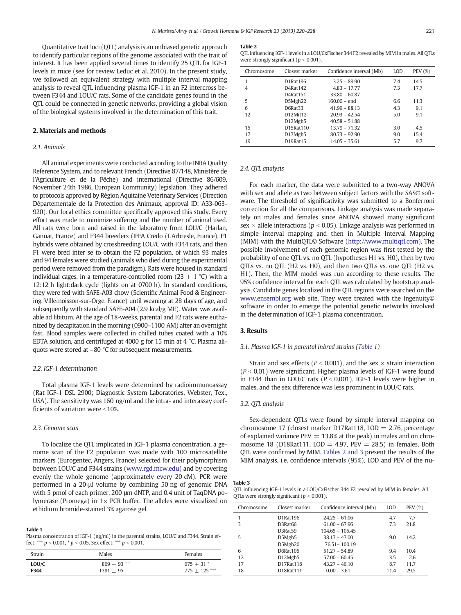<span id="page-1-0"></span>Quantitative trait loci (QTL) analysis is an unbiased genetic approach to identify particular regions of the genome associated with the trait of interest. It has been applied several times to identify 25 QTL for IGF-1 levels in mice (see for review Leduc et al. 2010). In the present study, we followed an equivalent strategy with multiple interval mapping analysis to reveal QTL influencing plasma IGF-1 in an F2 intercross between F344 and LOU/C rats. Some of the candidate genes found in the QTL could be connected in genetic networks, providing a global vision of the biological systems involved in the determination of this trait.

#### 2. Materials and methods

## 2.1. Animals

All animal experiments were conducted according to the INRA Quality Reference System, and to relevant French (Directive 87/148, Ministère de l'Agriculture et de la Pêche) and international (Directive 86/609, November 24th 1986, European Community) legislation. They adhered to protocols approved by Région Aquitaine Veterinary Services (Direction Départementale de la Protection des Animaux, approval ID: A33-063- 920). Our local ethics committee specifically approved this study. Every effort was made to minimize suffering and the number of animal used. All rats were born and raised in the laboratory from LOU/C (Harlan, Gannat, France) and F344 breeders (IFFA Credo (L'Arbresle, France). F1 hybrids were obtained by crossbreeding LOU/C with F344 rats, and then F1 were bred inter se to obtain the F2 population, of which 93 males and 94 females were studied (animals who died during the experimental period were removed from the paradigm). Rats were housed in standard individual cages, in a temperature-controlled room (23  $\pm$  1 °C) with a 12:12 h light:dark cycle (lights on at 0700 h). In standard conditions, they were fed with SAFE-A03 chow (Scientific Animal Food & Engineering, Villemoisson-sur-Orge, France) until weaning at 28 days of age, and subsequently with standard SAFE-A04 (2.9 kcal/g ME). Water was available ad libitum. At the age of 18-weeks, parental and F2 rats were euthanized by decapitation in the morning (0900–1100 AM) after an overnight fast. Blood samples were collected in chilled tubes coated with a 10% EDTA solution, and centrifuged at 4000 g for 15 min at 4 °C. Plasma aliquots were stored at –80 °C for subsequent measurements.

#### 2.2. IGF-1 determination

Total plasma IGF-1 levels were determined by radioimmunoassay (Rat IGF-1 DSL 2900; Diagnostic System Laboratories, Webster, Tex., USA). The sensitivity was 160 ng/ml and the intra- and interassay coefficients of variation were  $<$  10%.

### 2.3. Genome scan

To localize the QTL implicated in IGF-1 plasma concentration, a genome scan of the F2 population was made with 100 microsatellite markers (Eurogentec, Angers, France) selected for their polymorphism between LOU/C and F344 strains [\(www.rgd.mcw.edu](http://www.rgd.mcw.edu)) and by covering evenly the whole genome (approximately every 20 cM). PCR were performed in a 20-μl volume by combining 50 ng of genomic DNA with 5 pmol of each primer, 200 μm dNTP, and 0.4 unit of TaqDNA polymerase (Promega) in  $1 \times$  PCR buffer. The alleles were visualized on ethidium bromide-stained 3% agarose gel.

#### Table 1

Plasma concentration of IGF-1 (ng/ml) in the parental strains, LOU/C and F344. Strain effect: \*\*\*  $p < 0.001$ , \*  $p < 0.05$ . Sex effect:  $\degree{\circ}$   $p < 0.001$ .

| Strain | Males          | Females         |
|--------|----------------|-----------------|
| LOU/C  | $869 + 93$ °°° | $675 + 31*$     |
| F344   | $1381 + 95$    | $775 + 125$ *** |

#### Table 2

QTL influencing IGF-1 levels in a LOU/CxFischer 344 F2 revealed by MIM in males. All QTLs were strongly significant ( $p < 0.001$ ).

| Chromosome | Closest marker | Confidence interval (Mb) | LOD | PEV (%) |
|------------|----------------|--------------------------|-----|---------|
|            | D1Rat196       | $3.25 - 89.90$           | 7.4 | 14.5    |
| 4          | D4Rat142       | $4.83 - 17.77$           | 7.3 | 17.7    |
|            | D4Rat151       | $33.80 - 60.87$          |     |         |
| 5          | D5Mgh22        | $160.00 - end$           | 6.6 | 11.3    |
| 6          | D6Rat33        | $41.99 - 88.13$          | 4.3 | 9.1     |
| 12         | D12Mit12       | $20.93 - 42.54$          | 5.0 | 9.1     |
|            | D12Mgh5        | $40.58 - 51.88$          |     |         |
| 15         | D15Rat110      | 13.79 - 71.32            | 3.0 | 4.5     |
| 17         | D17Mgh5        | $80.73 - 92.90$          | 9.0 | 15.4    |
| 19         | D19Rat15       | $14.05 - 35.61$          | 5.7 | 9.7     |

#### 2.4. QTL analysis

For each marker, the data were submitted to a two-way ANOVA with sex and allele as two between subject factors with the SAS© software. The threshold of significativity was submitted to a Bonferroni correction for all the comparisons. Linkage analysis was made separately on males and females since ANOVA showed many significant sex  $\times$  allele interactions ( $p < 0.05$ ). Linkage analysis was performed in simple interval mapping and then in Multiple Interval Mapping (MIM) with the MultiQTL© Software ([http://www.multiqtl.com\)](http://www.multiqtl.com). The possible involvement of each genomic region was first tested by the probability of one QTL vs. no QTL (hypotheses H1 vs. H0), then by two QTLs vs. no QTL (H2 vs. H0), and then two QTLs vs. one QTL (H2 vs. H1). Then, the MIM model was run according to these results. The 95% confidence interval for each QTL was calculated by bootstrap analysis. Candidate genes localized in the QTL regions were searched on the [www.ensembl.org](http://www.ensembl.org) web site. They were treated with the Ingenuity© software in order to emerge the potential genetic networks involved in the determination of IGF-1 plasma concentration.

#### 3. Results

#### 3.1. Plasma IGF-1 in parental inbred strains (Table 1)

Strain and sex effects ( $P < 0.001$ ), and the sex  $\times$  strain interaction  $(P < 0.01)$  were significant. Higher plasma levels of IGF-1 were found in F344 than in LOU/C rats ( $P < 0.001$ ). IGF-1 levels were higher in males, and the sex difference was less prominent in LOU/C rats.

#### 3.2. QTL analysis

Sex-dependent QTLs were found by simple interval mapping on chromosome 17 (closest marker D17Rat118,  $LOD = 2.76$ , percentage of explained variance  $PEV = 13.8%$  at the peak) in males and on chromosome 18 (D18Rat111,  $LOD = 4.97$ ,  $PEV = 28.5$ ) in females. Both QTL were confirmed by MIM. Tables 2 and 3 present the results of the MIM analysis, i.e. confidence intervals (95%), LOD and PEV of the nu-

Table 3

QTL influencing IGF-1 levels in a LOU/CxFischer 344 F2 revealed by MIM in females. All QTLs were strongly significant ( $p < 0.001$ ).

| Chromosome | Closest marker | Confidence interval (Mb) | LOD  | PEV (%) |
|------------|----------------|--------------------------|------|---------|
| 1          | D1Rat196       | $24.25 - 61.06$          | 4.7  | 7.7     |
| 3          | D3Rat66        | $61.00 - 67.96$          | 7.3  | 21.8    |
|            | D3Rat59        | $104.65 - 105.45$        |      |         |
| 5          | D5Mgh5         | $38.17 - 47.00$          | 9.0  | 14.2    |
|            | D5Mgh20        | 76.51 - 100.19           |      |         |
| 6          | D6Rat105       | $51.27 - 54.89$          | 9.4  | 10.4    |
| 12         | D12Mgh5        | $57.00 - 60.45$          | 3.5  | 2.6     |
| 17         | D17Rat118      | $43.27 - 46.10$          | 8.7  | 11.7    |
| 18         | D18Rat111      | $0.00 - 3.61$            | 11.4 | 29.5    |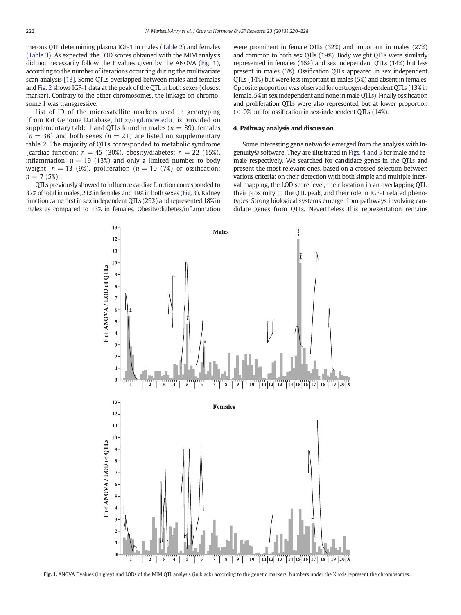merous QTL determining plasma IGF-1 in males [\(Table 2](#page-1-0)) and females [\(Table 3\)](#page-1-0). As expected, the LOD scores obtained with the MIM analysis did not necessarily follow the F values given by the ANOVA (Fig. 1), according to the number of iterations occurring during the multivariate scan analysis [\[13\].](#page-7-0) Some QTLs overlapped between males and females and [Fig. 2](#page-3-0) shows IGF-1 data at the peak of the QTL in both sexes (closest marker). Contrary to the other chromosomes, the linkage on chromosome 1 was transgressive.

List of ID of the microsatellite markers used in genotyping (from Rat Genome Database, [http://rgd.mcw.edu\)](http://rgd.mcw.edu) is provided on supplementary table 1 and QTLs found in males ( $n = 89$ ), females  $(n = 38)$  and both sexes  $(n = 21)$  are listed on supplementary table 2. The majority of QTLs corresponded to metabolic syndrome (cardiac function:  $n = 45$  (30%), obesity/diabetes:  $n = 22$  (15%), inflammation:  $n = 19$  (13%) and only a limited number to body weight:  $n = 13$  (9%), proliferation ( $n = 10$  (7%) or ossification:  $n = 7(5\%)$ .

QTLs previously showed to influence cardiac function corresponded to 37% of total in males, 21% in females and 19% in both sexes [\(Fig. 3\)](#page-4-0). Kidney function came first in sex independent QTLs (29%) and represented 18% in males as compared to 13% in females. Obesity/diabetes/inflammation were prominent in female QTLs (32%) and important in males (27%) and common to both sex QTls (19%). Body weight QTLs were similarly represented in females (16%) and sex independent QTLs (14%) but less present in males (3%). Ossification QTLs appeared in sex independent QTLs (14%) but were less important in males (5%) and absent in females. Opposite proportion was observed for oestrogen-dependent QTLs (13% in female, 5% in sex independent and none in male QTLs). Finally ossification and proliferation QTLs were also represented but at lower proportion  $\approx$  10% but for ossification in sex-independent QTLs (14%).

#### 4. Pathway analysis and discussion

Some interesting gene networks emerged from the analysis with Ingenuity© software. They are illustrated in [Figs. 4 and 5](#page-5-0) for male and female respectively. We searched for candidate genes in the QTLs and present the most relevant ones, based on a crossed selection between various criteria: on their detection with both simple and multiple interval mapping, the LOD score level, their location in an overlapping QTL, their proximity to the QTL peak, and their role in IGF-1 related phenotypes. Strong biological systems emerge from pathways involving candidate genes from QTLs. Nevertheless this representation remains



Fig. 1. ANOVA F values (in grey) and LODs of the MIM QTL analysis (in black) according to the genetic markers. Numbers under the X axis represent the chromosomes.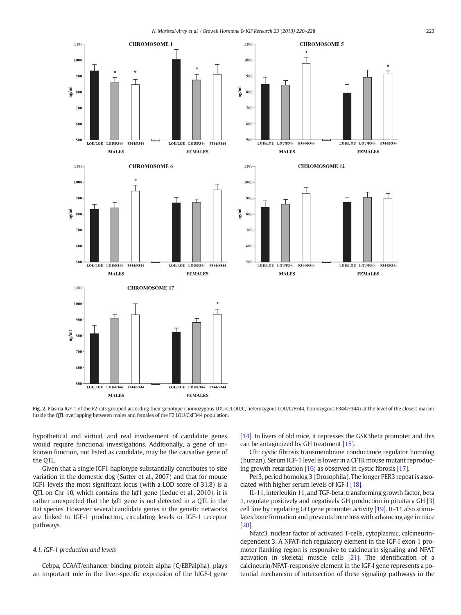1100

<span id="page-3-0"></span>



**CHROMOSOME 5** 

Fig. 2. Plasma IGF-1 of the F2 rats grouped according their genotype (homozygous LOU/C/LOU/C, heterozygous LOU/C/F344, homozygous F344/F344) at the level of the closest marker inside the QTL overlapping between males and females of the F2 LOU/CxF344 population.

hypothetical and virtual, and real involvement of candidate genes would require functional investigations. Additionally, a gene of unknown function, not listed as candidate, may be the causative gene of the QTL.

Given that a single IGF1 haplotype substantially contributes to size variation in the domestic dog (Sutter et al., 2007) and that for mouse IGF1 levels the most significant locus (with a LOD score of 31.8) is a QTL on Chr 10, which contains the Igf1 gene (Leduc et al., 2010), it is rather unexpected that the Igf1 gene is not detected in a QTL in the Rat species. However several candidate genes in the genetic networks are linked to IGF-1 production, circulating levels or IGF-1 receptor pathways.

## 4.1. IGF-1 production and levels

Cebpa, CCAAT/enhancer binding protein alpha (C/EBPalpha), plays an important role in the liver-specific expression of the hIGF-I gene [\[14\].](#page-7-0) In livers of old mice, it represses the GSK3beta promoter and this can be antagonized by GH treatment [\[15\]](#page-7-0).

Cftr cystic fibrosis transmembrane conductance regulator homolog (human). Serum IGF-1 level is lower in a CFTR mouse mutant reproducing growth retardation [\[16\]](#page-7-0) as observed in cystic fibrosis [\[17\]](#page-7-0).

Per3, period homolog 3 (Drosophila). The longer PER3 repeat is associated with higher serum levels of IGF-I [\[18\].](#page-7-0)

IL-11, interleukin 11, and TGF-beta, transforming growth factor, beta 1, regulate positively and negatively GH production in pituitary GH [\[3\]](#page-6-0) cell line by regulating GH gene promoter activity [\[19\]](#page-7-0). IL-11 also stimulates bone formation and prevents bone loss with advancing age in mice [\[20\].](#page-7-0)

Nfatc3, nuclear factor of activated T-cells, cytoplasmic, calcineurindependent 3. A NFAT-rich regulatory element in the IGF-I exon 1 promoter flanking region is responsive to calcineurin signaling and NFAT activation in skeletal muscle cells [\[21\]](#page-7-0). The identification of a calcineurin/NFAT-responsive element in the IGF-I gene represents a potential mechanism of intersection of these signaling pathways in the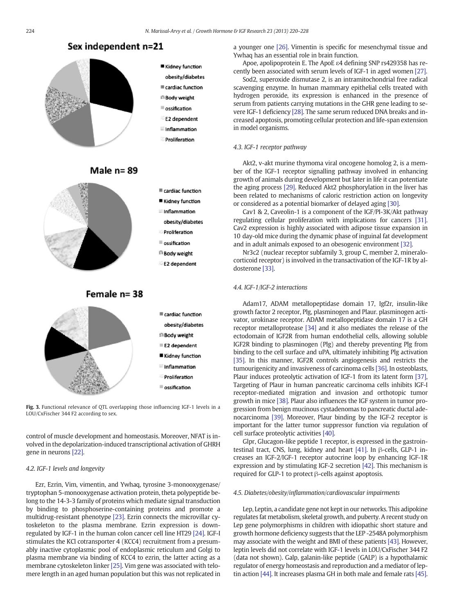# Sex independent n=21

<span id="page-4-0"></span>



- obesity/diabetes
- **Ecardiac function**
- **Ill Body weight**
- nssification
- E2 dependent
- **Inflammation**
- Proliferation





- Kidney function **Inflammation**
- obesity/diabetes
- Proliferation
- nssification
- ill Body weight
- E2 dependent



Fig. 3. Functional relevance of QTL overlapping those influencing IGF-1 levels in a LOU/CxFischer 344 F2 according to sex.

control of muscle development and homeostasis. Moreover, NFAT is involved in the depolarization-induced transcriptional activation of GHRH gene in neurons [\[22\]](#page-7-0).

#### 4.2. IGF-1 levels and longevity

Ezr, Ezrin, Vim, vimentin, and Ywhaq, tyrosine 3-monooxygenase/ tryptophan 5-monooxygenase activation protein, theta polypeptide belong to the 14-3-3 family of proteins which mediate signal transduction by binding to phosphoserine-containing proteins and promote a multidrug-resistant phenotype [\[23\]](#page-7-0). Ezrin connects the microvillar cytoskeleton to the plasma membrane. Ezrin expression is downregulated by IGF-1 in the human colon cancer cell line HT29 [\[24\].](#page-7-0) IGF-I stimulates the KCl cotransporter 4 (KCC4) recruitment from a presumably inactive cytoplasmic pool of endoplasmic reticulum and Golgi to plasma membrane via binding of KCC4 to ezrin, the latter acting as a membrane cytoskeleton linker [\[25\]](#page-7-0). Vim gene was associated with telomere length in an aged human population but this was not replicated in a younger one [\[26\].](#page-7-0) Vimentin is specific for mesenchymal tissue and Ywhaq has an essential role in brain function.

Apoe, apolipoprotein E. The ApoE ε4 defining SNP rs429358 has recently been associated with serum levels of IGF-1 in aged women [\[27\]](#page-7-0).

Sod2, superoxide dismutase 2, is an intramitochondrial free radical scavenging enzyme. In human mammary epithelial cells treated with hydrogen peroxide, its expression is enhanced in the presence of serum from patients carrying mutations in the GHR gene leading to severe IGF-1 deficiency [\[28\].](#page-7-0) The same serum reduced DNA breaks and increased apoptosis, promoting cellular protection and life-span extension in model organisms.

## 4.3. IGF-1 receptor pathway

Akt2, v-akt murine thymoma viral oncogene homolog 2, is a member of the IGF-1 receptor signalling pathway involved in enhancing growth of animals during development but later in life it can potentiate the aging process [\[29\]](#page-7-0). Reduced Akt2 phosphorylation in the liver has been related to mechanisms of caloric restriction action on longevity or considered as a potential biomarker of delayed aging [\[30\]](#page-7-0).

Cav1 & 2, Caveolin-1 is a component of the IGF/PI-3K/Akt pathway regulating cellular proliferation with implications for cancers [\[31\].](#page-7-0) Cav2 expression is highly associated with adipose tissue expansion in 10 day-old mice during the dynamic phase of inguinal fat development and in adult animals exposed to an obesogenic environment [\[32\]](#page-7-0).

Nr3c2 (nuclear receptor subfamily 3, group C, member 2, mineralocorticoid receptor) is involved in the transactivation of the IGF-1R by aldosterone [\[33\].](#page-7-0)

# 4.4. IGF-1/IGF-2 interactions

Adam17, ADAM metallopeptidase domain 17, Igf2r, insulin-like growth factor 2 receptor, Plg, plasminogen and Plaur. plasminogen activator, urokinase receptor. ADAM metallopeptidase domain 17 is a GH receptor metalloprotease [\[34\]](#page-7-0) and it also mediates the release of the ectodomain of IGF2R from human endothelial cells, allowing soluble IGF2R binding to plasminogen (Plg) and thereby preventing Plg from binding to the cell surface and uPA, ultimately inhibiting Plg activation [\[35\]](#page-7-0). In this manner, IGF2R controls angiogenesis and restricts the tumourigenicity and invasiveness of carcinoma cells [\[36\].](#page-7-0) In osteoblasts, Plaur induces proteolytic activation of IGF-1 from its latent form [\[37\],](#page-7-0) Targeting of Plaur in human pancreatic carcinoma cells inhibits IGF-I receptor-mediated migration and invasion and orthotopic tumor growth in mice [\[38\].](#page-7-0) Plaur also influences the IGF system in tumor progression from benign mucinous cystadenomas to pancreatic ductal adenocarcinoma [\[39\]](#page-7-0). Moreover, Plaur binding by the IGF-2 receptor is important for the latter tumor suppressor function via regulation of cell surface proteolytic activities [\[40\]](#page-7-0).

Glpr, Glucagon-like peptide 1 receptor, is expressed in the gastrointestinal tract, CNS, lung, kidney and heart [\[41\].](#page-7-0) In β-cells, GLP-1 increases an IGF-2/IGF-1 receptor autocrine loop by enhancing IGF-1R expression and by stimulating IGF-2 secretion [\[42\]](#page-7-0). This mechanism is required for GLP-1 to protect β-cells against apoptosis.

#### 4.5. Diabetes/obesity/inflammation/cardiovascular impairments

Lep, Leptin, a candidate gene not kept in our networks. This adipokine regulates fat metabolism, skeletal growth, and puberty. A recent study on Lep gene polymorphisms in children with idiopathic short stature and growth hormone deficiency suggests that the LEP -2548A polymorphism may associate with the weight and BMI of these patients [\[43\]](#page-7-0). However, leptin levels did not correlate with IGF-1 levels in LOU/CxFischer 344 F2 (data not shown). Galp, galanin-like peptide (GALP) is a hypothalamic regulator of energy homeostasis and reproduction and a mediator of leptin action [\[44\].](#page-7-0) It increases plasma GH in both male and female rats [\[45\].](#page-7-0)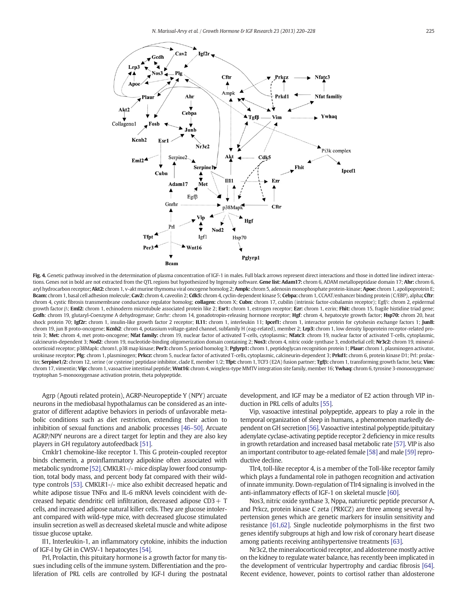<span id="page-5-0"></span>

Fig. 4. Genetic pathway involved in the determination of plasma concentration of IGF-1 in males. Full black arrows represent direct interactions and those in dotted line indirect interactions. Genes not in bold are not extracted from the QTL regions but hypothesized by Ingenuity software. Gene list: Adam17: chrom 6, ADAM metallopeptidase domain 17; Ahr: chrom 6, aryl hydrocarbon receptor; Akt2: chrom 1, v-akt murine thymoma viral oncogene homolog 2; Ampk: chrom 5, adenosin monophosphate protein-kinase; Apoe: chrom 1, apolipoprotein E; Bcam: chrom 1, basal cell adhesion molecule; Cav2: chrom 4, caveolin 2; Cdk5: chrom 4, cyclin-dependent kinase 5; Cebpa: chrom 1, CCAAT/enhancer binding protein (C/EBP), alpha; Cftr: chrom 4, cystic fibrosis transmembrane conductance regulator homolog; collagen: chrom X; Cubn: chrom 17, cubilin (intrinsic factor-cobalamin receptor); Egfβ: chrom 2, epidermal growth factor β; Eml2: chrom 1, echinoderm microtubule associated protein like 2; Esr1: chrom 1, estrogen receptor; Ezr: chrom 1, ezrin; Fhit: chrom 15, fragile histidine triad gene; Gcdh: chrom 19, glutaryl-Coenzyme A dehydrogenase; Gnrhr: chrom 14, gonadotropin-releasing hormone receptor; Hgf: chrom 4, hepatocyte growth factor; Hsp70: chrom 20, heat shock protein 70; Igf2r: chrom 1, insulin-like growth factor 2 receptor; IL11: chrom 1, interleukin 11; Ipcef1: chrom 1, interactor protein for cytohesin exchange factors 1; JunB: chrom 19, jun B proto-oncogene; Kcnh2: chrom 4, potassium voltage-gated channel, subfamily H (eag-related), member 2; Lrp3: chrom 1, low density lipoprotein receptor-related protein 3; Met: chrom 4, met proto-oncogene; Nfat family: chrom 19, nuclear factor of activated T-cells, cytoplasmic; Nfatc3: chrom 19, nuclear factor of activated T-cells, cytoplasmic, calcineurin-dependent 3; Nod2: chrom 19, nucleotide-binding oligomerization domain containing 2; Nos3: chrom 4, nitric oxide synthase 3, endothelial cell; Nr3c2: chrom 19, mineralocorticoid receptor; p38Mapk: chrom1, p38 map kinase; Per3: chrom 5, period homolog 3; Pglyrp1: chrom 1, peptidoglycan recognition protein 1; Plaur: chrom 1, plasminogen activator, urokinase receptor; Plg: chrom 1, plasminogen; Prkcz: chrom 5, nuclear factor of activated T-cells, cytoplasmic, calcineurin-dependent 3; Prkd1: chrom 6, protein kinase D1; Prl: prolactin; Serpine1/2: chrom 12, serine (or cysteine) peptidase inhibitor, clade E, member 1/2; Tfpt: chrom 1, TCF3 (E2A) fusion partner; Tgfß: chrom 1, transforming growth factor, beta; Vim: chrom 17, vimentin; Vip: chrom 1, vasoactive intestinal peptide; Wnt16: chrom 4, wingless-type MMTV integration site family, member 16; Ywhaq: chrom 6, tyrosine 3-monooxygenase/ tryptophan 5-monooxygenase activation protein, theta polypeptide.

Agrp (Agouti related protein), AGRP-Neuropeptide Y (NPY) arcuate neurons in the mediobasal hypothalamus can be considered as an integrator of different adaptive behaviors in periods of unfavorable metabolic conditions such as diet restriction, extending their action to inhibition of sexual functions and anabolic processes [\[46](#page-7-0)–50]. Arcuate AGRP/NPY neurons are a direct target for leptin and they are also key players in GH regulatory autofeedback [\[51\]](#page-7-0).

Cmklr1 chemokine-like receptor 1. This G protein-coupled receptor binds chemerin, a proinflammatory adipokine often associated with metabolic syndrome [\[52\].](#page-7-0) CMKLR1-/- mice display lower food consumption, total body mass, and percent body fat compared with their wildtype controls [\[53\].](#page-7-0) CMKLR1-/- mice also exhibit decreased hepatic and white adipose tissue TNF $\alpha$  and IL-6 mRNA levels coincident with decreased hepatic dendritic cell infiltration, decreased adipose CD3+ T cells, and increased adipose natural killer cells. They are glucose intolerant compared with wild-type mice, with decreased glucose stimulated insulin secretion as well as decreased skeletal muscle and white adipose tissue glucose uptake.

Il1, Interleukin-1, an inflammatory cytokine, inhibits the induction of IGF-I by GH in CWSV-1 hepatocytes [\[54\].](#page-7-0)

Prl, Prolactin, this pituitary hormone is a growth factor for many tissues including cells of the immune system. Differentiation and the proliferation of PRL cells are controlled by IGF-I during the postnatal development, and IGF may be a mediator of E2 action through VIP induction in PRL cells of adults [\[55\]](#page-7-0).

Vip, vasoactive intestinal polypeptide, appears to play a role in the temporal organization of sleep in humans, a phenomenon markedly dependent on GH secretion [\[56\]](#page-7-0). Vasoactive intestinal polypeptide/pituitary adenylate cyclase-activating peptide receptor 2 deficiency in mice results in growth retardation and increased basal metabolic rate [\[57\]](#page-7-0). VIP is also an important contributor to age-related female [\[58\]](#page-7-0) and male [\[59\]](#page-8-0) reproductive decline.

Tlr4, toll-like receptor 4, is a member of the Toll-like receptor family which plays a fundamental role in pathogen recognition and activation of innate immunity. Down-regulation of Tlr4 signaling is involved in the anti-inflammatory effects of IGF-1 on skeletal muscle [\[60\]](#page-8-0).

Nos3, nitric oxide synthase 3, Nppa, natriuretic peptide precursor A, and Prkcz, protein kinase C zeta (PRKCZ) are three among several hypertension genes which are genetic markers for insulin sensitivity and resistance [\[61,62\]](#page-8-0). Single nucleotide polymorphisms in the first two genes identify subgroups at high and low risk of coronary heart disease among patients receiving antihypertensive treatments [\[63\]](#page-8-0).

Nr3c2, the mineralocorticoid receptor, and aldosterone mostly active on the kidney to regulate water balance, has recently been implicated in the development of ventricular hypertrophy and cardiac fibrosis [\[64\].](#page-8-0) Recent evidence, however, points to cortisol rather than aldosterone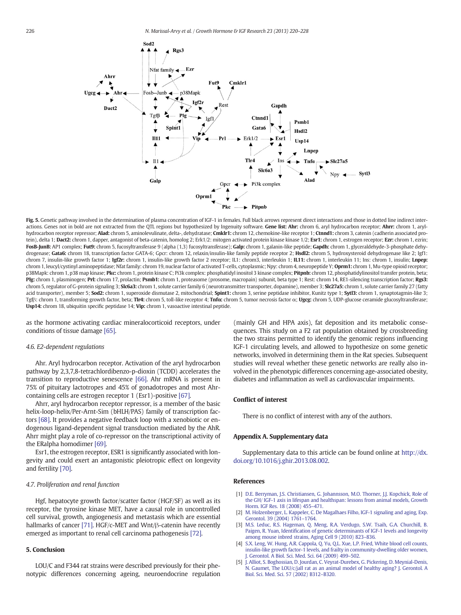<span id="page-6-0"></span>

Fig. 5. Genetic pathway involved in the determination of plasma concentration of IGF-1 in females. Full black arrows represent direct interactions and those in dotted line indirect interactions. Genes not in bold are not extracted from the QTL regions but hypothesized by Ingenuity software. Gene list: Ahr: chrom 6, aryl hydrocarbon receptor; Ahrr: chrom 1, arylhydrocarbon receptor repressor; Alad: chrom 5, aminolevulinate, delta-, dehydratase; Cmklr1: chrom 12, chemokine-like receptor 1; Ctnnd1: chrom 3, catenin (cadherin associated protein), delta 1; Dact2: chrom 1, dapper, antagonist of beta-catenin, homolog 2; Erk1/2: mitogen activated protein kinase kinase 1/2; Esr1: chrom 1, estrogen receptor; Ezr: chrom 1, ezrin; FosB-JunB: AP1 complex; Fut9: chrom 5, fucosyltransferase 9 (alpha (1,3) fucosyltransferase); Galp: chrom 1, galanin-like peptide; Gapdh: chrom 1, glyceraldehyde-3-phosphate dehydrogenase; Gata6: chrom 18, transcription factor GATA-6; Gpcr: chrom 12, relaxin/insulin-like family peptide receptor 2; Hsdl2: chrom 5, hydroxysteroid dehydrogenase like 2; Igf1: chrom 7, insulin-like growth factor 1; Igf2r: chrom 1, insulin-like growth factor 2 receptor; IL1: chrom3, interleukin 1; IL11: chrom 1, interleukin 11; Ins: chrom 1, insulin; Lnpep: chrom 1, leucyl/cystinyl aminopeptidase; Nfat family: chrom 19, nuclear factor of activated T-cells, cytoplasmic; Npy: chrom 4, neuropeptide Y; Oprm1: chrom 1, Mu-type opioid receptor; p38Mapk: chrom 1, p38 map kinase; Pkc: chrom 1, protein kinase C; Pi3k complex: phosphatidyl inositol 3 kinase complex; Pitpnb: chrom 12, phosphatidylinositol transfer protein, beta; Plg: chrom 1, plasminogen; Prl: chrom 17, prolactin; Psmb1: chrom 1, proteasome (prosome, macropain) subunit, beta type 1; Rest: chrom 14, RE1-silencing transcription factor; Rgs3: chrom 5, regulator of G-protein signaling 3; Slc6a3: chrom 1, solute carrier family 6 (neurotransmitter transporter, dopamine), member 3; Slc27a5: chrom 1, solute carrier family 27 (fatty acid transporter), member 5; Sod2: chrom 1, superoxide dismutase 2, mitochondrial; Spint1: chrom 3, serine peptidase inhibitor, Kunitz type 1; Sytl3: chrom 1, synaptotagmin-like 3; Tgfβ: chrom 1, transforming growth factor, beta; Tlr4: chrom 5, toll-like receptor 4; Tnfα: chrom 5, tumor necrosis factor α; Ugcg: chrom 5, UDP-glucose ceramide glucosyltransferase; Usp14: chrom 18, ubiquitin specific peptidase 14; Vip: chrom 1, vasoactive intestinal peptide.

as the hormone activating cardiac mineralocorticoid receptors, under conditions of tissue damage [\[65\].](#page-8-0)

#### 4.6. E2-dependent regulations

Ahr. Aryl hydrocarbon receptor. Activation of the aryl hydrocarbon pathway by 2,3,7,8-tetrachlordibenzo-p-dioxin (TCDD) accelerates the transition to reproductive senescence [\[66\]](#page-8-0). Ahr mRNA is present in 75% of pituitary lactotropes and 45% of gonadotropes and most Ahrcontaining cells are estrogen receptor 1 (Esr1)-positive [\[67\]](#page-8-0).

Ahrr, aryl hydrocarbon receptor repressor, is a member of the basic helix-loop-helix/Per-Arnt-Sim (bHLH/PAS) family of transcription factors [\[68\]](#page-8-0). It provides a negative feedback loop with a xenobiotic or endogenous ligand-dependent signal transduction mediated by the AhR. Ahrr might play a role of co-repressor on the transcriptional activity of the ERalpha homodimer [\[69\].](#page-8-0)

Esr1, the estrogen receptor, ESR1 is significantly associated with longevity and could exert an antagonistic pleiotropic effect on longevity and fertility [\[70\].](#page-8-0)

#### 4.7. Proliferation and renal function

Hgf, hepatocyte growth factor/scatter factor (HGF/SF) as well as its receptor, the tyrosine kinase MET, have a causal role in uncontrolled cell survival, growth, angiogenesis and metastasis which are essential hallmarks of cancer [\[71\].](#page-8-0) HGF/c-MET and Wnt/β-catenin have recently emerged as important to renal cell carcinoma pathogenesis [\[72\]](#page-8-0).

### 5. Conclusion

LOU/C and F344 rat strains were described previously for their phenotypic differences concerning ageing, neuroendocrine regulation (mainly GH and HPA axis), fat deposition and its metabolic consequences. This study on a F2 rat population obtained by crossbreeding the two strains permitted to identify the genomic regions influencing IGF-1 circulating levels, and allowed to hypothesize on some genetic networks, involved in determining them in the Rat species. Subsequent studies will reveal whether these genetic networks are really also involved in the phenotypic differences concerning age-associated obesity, diabetes and inflammation as well as cardiovascular impairments.

#### Conflict of interest

There is no conflict of interest with any of the authors.

### Appendix A. Supplementary data

Supplementary data to this article can be found online at [http://dx.](http://dx.doi.org/10.1016/j.ghir.2013.08.002) [doi.org/10.1016/j.ghir.2013.08.002.](http://dx.doi.org/10.1016/j.ghir.2013.08.002)

#### References

- [1] [D.E. Berryman, J.S. Christiansen, G. Johannsson, M.O. Thorner, J.J. Kopchick, Role of](http://refhub.elsevier.com/S1096-6374(13)00071-3/rf0115) [the GH/ IGF-1 axis in lifespan and healthspan: lessons from animal models, Growth](http://refhub.elsevier.com/S1096-6374(13)00071-3/rf0115) [Horm. IGF Res. 18 \(2008\) 455](http://refhub.elsevier.com/S1096-6374(13)00071-3/rf0115)–471.
- [2] [M. Holzenberger, L. Kappeler, C. De Magalhaes Filho, IGF-1 signaling and aging, Exp.](http://refhub.elsevier.com/S1096-6374(13)00071-3/rf0120) [Gerontol. 39 \(2004\) 1761](http://refhub.elsevier.com/S1096-6374(13)00071-3/rf0120)–1764.
- [3] [M.S. Leduc, R.S. Hageman, Q. Meng, R.A. Verdugo, S.W. Tsaih, G.A. Churchill, B.](http://refhub.elsevier.com/S1096-6374(13)00071-3/rf0125) Paigen, R. Yuan, Identifi[cation of genetic determinants of IGF-1 levels and longevity](http://refhub.elsevier.com/S1096-6374(13)00071-3/rf0125) [among mouse inbred strains, Aging Cell 9 \(2010\) 823](http://refhub.elsevier.com/S1096-6374(13)00071-3/rf0125)–836.
- [4] [S.X. Leng, W. Hung, A.R. Cappola, Q. Yu, Q.L. Xue, L.P. Fried, White blood cell counts,](http://refhub.elsevier.com/S1096-6374(13)00071-3/rf0130) [insulin-like growth factor-1 levels, and frailty in community-dwelling older women,](http://refhub.elsevier.com/S1096-6374(13)00071-3/rf0130) [J. Gerontol. A Biol. Sci. Med. Sci. 64 \(2009\) 499](http://refhub.elsevier.com/S1096-6374(13)00071-3/rf0130)–502.
- [5] [J. Alliot, S. Boghossian, D. Jourdan, C. Veyrat-Durebex, G. Pickering, D. Meynial-Denis,](http://refhub.elsevier.com/S1096-6374(13)00071-3/rf0135) [N. Gaumet, The LOU/c/jall rat as an animal model of healthy aging? J. Gerontol. A](http://refhub.elsevier.com/S1096-6374(13)00071-3/rf0135) [Biol. Sci. Med. Sci. 57 \(2002\) B312](http://refhub.elsevier.com/S1096-6374(13)00071-3/rf0135)–B320.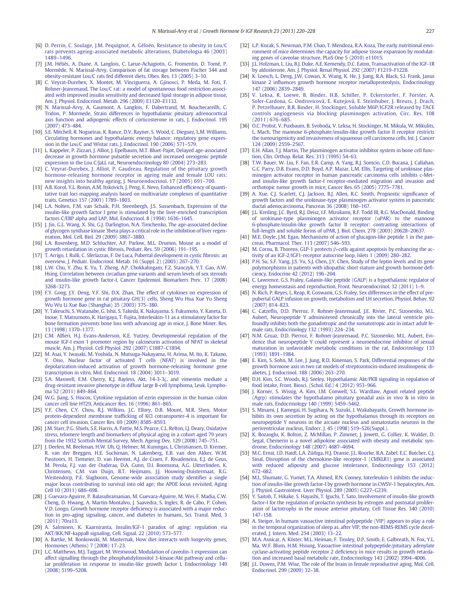- <span id="page-7-0"></span>[6] [D. Perrin, C. Soulage, J.M. Pequignot, A. Géloën, Resistance to obesity in Lou/C](http://refhub.elsevier.com/S1096-6374(13)00071-3/rf0140) [rats prevents ageing-associated metabolic alterations, Diabetologia 46 \(2003\)](http://refhub.elsevier.com/S1096-6374(13)00071-3/rf0140) 1489–[1496.](http://refhub.elsevier.com/S1096-6374(13)00071-3/rf0140)
- [7] [J.M. Héliès, A. Diane, A. Langlois, C. Larue-Achagiotis, G. Fromentin, D. Tomé, P.](http://refhub.elsevier.com/S1096-6374(13)00071-3/rf0145) [Mormède, N. Marissal-Arvy, Comparison of fat storage between Fischer 344 and](http://refhub.elsevier.com/S1096-6374(13)00071-3/rf0145) [obesity-resistant Lou/C rats fed different diets, Obes. Res. 13 \(2005\) 3](http://refhub.elsevier.com/S1096-6374(13)00071-3/rf0145)–10.
- [8] [C. Veyrat-Durebex, X. Montet, M. Vinciguerra, A. Gjinovci, P. Meda, M. Foti, F.](http://refhub.elsevier.com/S1096-6374(13)00071-3/rf0150) [Rohner-Jeanrenaud, The Lou/C rat: a model of spontaneous food restriction associ](http://refhub.elsevier.com/S1096-6374(13)00071-3/rf0150)[ated with improved insulin sensitivity and decreased lipid storage in adipose tissue,](http://refhub.elsevier.com/S1096-6374(13)00071-3/rf0150) [Am. J. Physiol. Endocrinol. Metab. 296 \(2009\) E1120](http://refhub.elsevier.com/S1096-6374(13)00071-3/rf0150)–E1132.
- [9] [N. Marissal-Arvy, A. Gaumont, A. Langlois, F. Dabertrand, M. Bouchecareilh, C.](http://refhub.elsevier.com/S1096-6374(13)00071-3/rf0155) [Tridon, P. Mormede, Strain differences in hypothalamic pituitary adrenocortical](http://refhub.elsevier.com/S1096-6374(13)00071-3/rf0155) [axis function and adipogenic effects of corticosterone in rats, J. Endocrinol. 195](http://refhub.elsevier.com/S1096-6374(13)00071-3/rf0155) [\(2007\) 473](http://refhub.elsevier.com/S1096-6374(13)00071-3/rf0155)–484.
- [10] [S.E. Mitchell, R. Nogueiras, K. Rance, D.V. Rayner, S. Wood, C. Dieguez, L.M. Williams,](http://refhub.elsevier.com/S1096-6374(13)00071-3/rf0160) [Circulating hormones and hypothalamic energy balance: regulatory gene expres](http://refhub.elsevier.com/S1096-6374(13)00071-3/rf0160)[sion in the Lou/C and Wistar rats, J. Endocrinol. 190 \(2006\) 571](http://refhub.elsevier.com/S1096-6374(13)00071-3/rf0160)–579.
- [11] [L. Kappeler, P. Zizzari, J. Alliot, J. Epelbaum, M.T. Bluet-Pajot, Delayed age-associated](http://refhub.elsevier.com/S1096-6374(13)00071-3/rf0165) [decrease in growth hormone pulsatile secretion and increased orexigenic peptide](http://refhub.elsevier.com/S1096-6374(13)00071-3/rf0165) [expression in the Lou C/JaLL rat, Neuroendocrinology 80 \(2004\) 273](http://refhub.elsevier.com/S1096-6374(13)00071-3/rf0165)–283.
- [12] [C. Veyrat-Durebex, J. Alliot, P. Gaudreau, Regulation of the pituitary growth](http://refhub.elsevier.com/S1096-6374(13)00071-3/rf0170) [hormone-releasing hormone receptor in ageing male and female LOU rats:](http://refhub.elsevier.com/S1096-6374(13)00071-3/rf0170) [new insights into healthy ageing, J. Neuroendocrinol. 17 \(2005\) 691](http://refhub.elsevier.com/S1096-6374(13)00071-3/rf0170)–700.
- [13] [A.B. Korol, Y.L. Ronin, A.M. Itskovich, J. Peng, E. Nevo, Enhanced ef](http://refhub.elsevier.com/S1096-6374(13)00071-3/rf0330)ficiency of quanti[tative trait loci mapping analysis based on multivariate complexes of quantitative](http://refhub.elsevier.com/S1096-6374(13)00071-3/rf0330) [traits, Genetics 157 \(2001\) 1789](http://refhub.elsevier.com/S1096-6374(13)00071-3/rf0330)–1803.
- [14] [L.A. Nolten, F.M. van Schaik, P.H. Steenbergh, J.S. Sussenbach, Expression of the](http://refhub.elsevier.com/S1096-6374(13)00071-3/rf0180) [insulin-like growth factor I gene is stimulated by the liver-enriched transcription](http://refhub.elsevier.com/S1096-6374(13)00071-3/rf0180) [factors C/EBP alpha and LAP, Mol. Endocrinol. 8 \(1994\) 1636](http://refhub.elsevier.com/S1096-6374(13)00071-3/rf0180)–1645.
- [15] [J. Jin, G.L. Wang, X. Shi, G.J. Darlington, N.A. Timchenko, The age-associated decline](http://refhub.elsevier.com/S1096-6374(13)00071-3/rf0335) [of glycogen synthase kinase 3beta plays a critical role in the inhibition of liver regen](http://refhub.elsevier.com/S1096-6374(13)00071-3/rf0335)[eration, Mol. Cell. Biol. 29 \(2009\) 3867](http://refhub.elsevier.com/S1096-6374(13)00071-3/rf0335)–3880.
- [16] [L.A. Rosenberg, M.D. Schluchter, A.F. Parlow, M.L. Drumm, Mouse as a model of](http://refhub.elsevier.com/S1096-6374(13)00071-3/rf0190) growth retardation in cystic fi[brosis, Pediatr. Res. 59 \(2006\) 191](http://refhub.elsevier.com/S1096-6374(13)00071-3/rf0190)–195.
- [17] [T. Arrigo, I. Rulli, C. Sferlazzas, F. De Luca, Pubertal development in cystic](http://refhub.elsevier.com/S1096-6374(13)00071-3/rf0195) fibrosis: an [overview, J. Pediatr. Endocrinol. Metab. 16 \(Suppl. 2\) \(2003\) 267](http://refhub.elsevier.com/S1096-6374(13)00071-3/rf0195)–270.
- [18] [L.W. Chu, Y. Zhu, K. Yu, T. Zheng, A.P. Chokkalingam, F.Z. Stanczyk, Y.T. Gao, A.W.](http://refhub.elsevier.com/S1096-6374(13)00071-3/rf0200) [Hsing, Correlation between circadian gene variants and serum levels of sex steroids](http://refhub.elsevier.com/S1096-6374(13)00071-3/rf0200) [and insulin-like growth factor-I, Cancer Epidemiol. Biomarkers Prev. 17 \(2008\)](http://refhub.elsevier.com/S1096-6374(13)00071-3/rf0200) [3268](http://refhub.elsevier.com/S1096-6374(13)00071-3/rf0200)–3273.
- [19] [F.Y. Gong, J.Y. Deng, Y.F. Shi, D.X. Zhan, The effect of cytokines on expression of](http://refhub.elsevier.com/S1096-6374(13)00071-3/rf0340) [growth hormone gene in rat pituitary GH\(3\) cells, Sheng Wu Hua Xue Yu Sheng](http://refhub.elsevier.com/S1096-6374(13)00071-3/rf0340) [Wu Wu Li Xue Bao \(Shanghai\) 35 \(2003\) 375](http://refhub.elsevier.com/S1096-6374(13)00071-3/rf0340)–380.
- [20] [Y. Takeuchi, S. Watanabe, G. Ishii, S. Takeda, K. Nakayama, S. Fukumoto, Y. Kaneta, D.](http://refhub.elsevier.com/S1096-6374(13)00071-3/rf0205) [Inoue, T. Matsumoto, K. Harigaya, T. Fujita, Interleukin-11 as a stimulatory factor for](http://refhub.elsevier.com/S1096-6374(13)00071-3/rf0205) [bone formation prevents bone loss with advancing age in mice, J. Bone Miner. Res.](http://refhub.elsevier.com/S1096-6374(13)00071-3/rf0205) [13 \(1998\) 1370](http://refhub.elsevier.com/S1096-6374(13)00071-3/rf0205)–1377.
- [21] C.M. Alfi[eri, H.J. Evans-Anderson, K.E. Yutzey, Developmental regulation of the](http://refhub.elsevier.com/S1096-6374(13)00071-3/rf0210) [mouse IGF-I exon 1 promoter region by calcineurin activation of NFAT in skeletal](http://refhub.elsevier.com/S1096-6374(13)00071-3/rf0210) [muscle, Am. J. Physiol. Cell Physiol. 292 \(2007\) C1887](http://refhub.elsevier.com/S1096-6374(13)00071-3/rf0210)–C1894.
- [22] [M. Asai, Y. Iwasaki, M. Yoshida, N. Mutsuga-Nakayama, H. Arima, M. Ito, K. Takano,](http://refhub.elsevier.com/S1096-6374(13)00071-3/rf0215) [Y. Oiso, Nuclear factor of activated T cells \(NFAT\) is involved in the](http://refhub.elsevier.com/S1096-6374(13)00071-3/rf0215) [depolarization-induced activation of growth hormone-releasing hormone gene](http://refhub.elsevier.com/S1096-6374(13)00071-3/rf0215) [transcription in vitro, Mol. Endocrinol. 18 \(2004\) 3011](http://refhub.elsevier.com/S1096-6374(13)00071-3/rf0215)–3019.
- [23] [S.A. Maxwell, E.M. Cherry, K.J. Bayless, Akt, 14-3-3](http://refhub.elsevier.com/S1096-6374(13)00071-3/rf0220)ζ, and vimentin mediate a [drug-resistant invasive phenotype in diffuse large B-cell lymphoma, Leuk. Lympho](http://refhub.elsevier.com/S1096-6374(13)00071-3/rf0220)[ma 52 \(2011\) 849](http://refhub.elsevier.com/S1096-6374(13)00071-3/rf0220)–864.
- [24] [W.G. Jiang, S. Hiscox, Cytokine regulation of ezrin expression in the human colon](http://refhub.elsevier.com/S1096-6374(13)00071-3/rf0225) [cancer cell line HT29, Anticancer Res. 16 \(1996\) 861](http://refhub.elsevier.com/S1096-6374(13)00071-3/rf0225)–865.
- [25] [Y.F. Chen, C.Y. Chou, R.J. Wilkins, J.C. Ellory, D.B. Mount, M.R. Shen, Motor](http://refhub.elsevier.com/S1096-6374(13)00071-3/rf0230) protein-dependent membrane traffi[cking of KCl cotransporter-4 is important for](http://refhub.elsevier.com/S1096-6374(13)00071-3/rf0230) [cancer cell invasion, Cancer Res. 69 \(2009\) 8585](http://refhub.elsevier.com/S1096-6374(13)00071-3/rf0230)–8593.
- [26] [J.M. Starr, P.G. Shiels, S.E. Harris, A. Pattie, M.S. Pearce, C.L. Relton, I.J. Deary, Oxidative](http://refhub.elsevier.com/S1096-6374(13)00071-3/rf0235) [stress, telomere length and biomarkers of physical aging in a cohort aged 79 years](http://refhub.elsevier.com/S1096-6374(13)00071-3/rf0235) [from the 1932 Scottish Mental Survey, Mech. Ageing Dev. 129 \(2008\) 745](http://refhub.elsevier.com/S1096-6374(13)00071-3/rf0235)–751.
- [27] [J. Deelen, M. Beekman, H.W. Uh, Q. Helmer, M. Kuningas, L. Christiansen, D. Kremer,](http://refhub.elsevier.com/S1096-6374(13)00071-3/rf0240) [R. van der Breggen, H.E. Suchiman, N. Lakenberg, E.B. van den Akker, W.M.](http://refhub.elsevier.com/S1096-6374(13)00071-3/rf0240) [Passtoors, H. Tiemeier, D. van Heemst, A.J. de Craen, F. Rivadeneira, E.J. de Geus,](http://refhub.elsevier.com/S1096-6374(13)00071-3/rf0240) [M. Perola, F.J. van der Ouderaa, D.A. Gunn, D.I. Boomsma, A.G. Uitterlinden, K.](http://refhub.elsevier.com/S1096-6374(13)00071-3/rf0240) [Christensen, C.M. van Duijn, B.T. Heijmans, J.J. Houwing-Duistermaat, R.G.](http://refhub.elsevier.com/S1096-6374(13)00071-3/rf0240) [Westendorp, P.E. Slagboom, Genome-wide association study identi](http://refhub.elsevier.com/S1096-6374(13)00071-3/rf0240)fies a single [major locus contributing to survival into old age; the APOE locus revisited, Aging](http://refhub.elsevier.com/S1096-6374(13)00071-3/rf0240) [Cell 10 \(2011\) 686](http://refhub.elsevier.com/S1096-6374(13)00071-3/rf0240)–698.
- [28] [J. Guevara-Aguirre, P. Balasubramanian, M. Guevara-Aguirre, M. Wei, F. Madia, C.W.](http://refhub.elsevier.com/S1096-6374(13)00071-3/rf0345) [Cheng, D. Hwang, A. Martin-Montalvo, J. Saavedra, S. Ingles, R. de Cabo, P. Cohen,](http://refhub.elsevier.com/S1096-6374(13)00071-3/rf0345) [V.D. Longo, Growth hormone receptor de](http://refhub.elsevier.com/S1096-6374(13)00071-3/rf0345)ficiency is associated with a major reduc[tion in pro-aging signaling, cancer, and diabetes in humans, Sci. Transl. Med. 3](http://refhub.elsevier.com/S1096-6374(13)00071-3/rf0345) [\(2011\) 70ra13](http://refhub.elsevier.com/S1096-6374(13)00071-3/rf0345).
- [29] [A. Salminen, K. Kaarniranta, Insulin/IGF-1 paradox of aging: regulation via](http://refhub.elsevier.com/S1096-6374(13)00071-3/rf0350)
- [AKT/IKK/NF-kappaB signaling, Cell. Signal. 22 \(2010\) 573](http://refhub.elsevier.com/S1096-6374(13)00071-3/rf0350)–577. [30] [A. Bartke, M. Bonkowski, M. Masternak, How diet interacts with longevity genes,](http://refhub.elsevier.com/S1096-6374(13)00071-3/rf0245) [Hormones \(Athens\) 7 \(2008\) 17](http://refhub.elsevier.com/S1096-6374(13)00071-3/rf0245)–23.
- [31] [L.C. Matthews, M.J. Taggart, M. Westwood, Modulation of caveolin-1 expression can](http://refhub.elsevier.com/S1096-6374(13)00071-3/rf0250) [affect signalling through the phosphatidylinositol 3-kinase/Akt pathway and cellu](http://refhub.elsevier.com/S1096-6374(13)00071-3/rf0250)[lar proliferation in response to insulin-like growth factor I, Endocrinology 149](http://refhub.elsevier.com/S1096-6374(13)00071-3/rf0250) [\(2008\) 5199](http://refhub.elsevier.com/S1096-6374(13)00071-3/rf0250)–5208.
- [32] [L.P. Kozak, S. Newman, P.M. Chao, T. Mendoza, R.A. Koza, The early nutritional envi](http://refhub.elsevier.com/S1096-6374(13)00071-3/rf0255)[ronment of mice determines the capacity for adipose tissue expansion by modulat](http://refhub.elsevier.com/S1096-6374(13)00071-3/rf0255)[ing genes of caveolae structure, PLoS One 5 \(2010\) e11015.](http://refhub.elsevier.com/S1096-6374(13)00071-3/rf0255)
- [33] [J.L. Holzman, L. Liu, B.J. Duke, A.E. Kemendy, D.C. Eaton, Transactivation of the IGF-1R](http://refhub.elsevier.com/S1096-6374(13)00071-3/rf0260) [by aldosterone, Am. J. Physiol. Renal Physiol. 292 \(2007\) F1219](http://refhub.elsevier.com/S1096-6374(13)00071-3/rf0260)–F1228.
- [34] [K. Loesch, L. Deng, J.W. Cowan, X. Wang, K. He, J. Jiang, R.A. Black, S.I. Frank, Janus](http://refhub.elsevier.com/S1096-6374(13)00071-3/rf0265) kinase 2 infl[uences growth hormone receptor metalloproteolysis, Endocrinology](http://refhub.elsevier.com/S1096-6374(13)00071-3/rf0265) [147 \(2006\) 2839](http://refhub.elsevier.com/S1096-6374(13)00071-3/rf0265)–2849.
- [35] [V. Leksa, R. Loewe, B. Binder, H.B. Schiller, P. Eckerstorfer, F. Forster, A.](http://refhub.elsevier.com/S1096-6374(13)00071-3/rf0270) [Soler-Cardona, G. Ondrovicová, E. Kutejová, E. Steinhuber, J. Breuss, J. Drach,](http://refhub.elsevier.com/S1096-6374(13)00071-3/rf0270) [P. Petzelbauer, B.R. Binder, H. Stockinger, Soluble M6P/IGF2R released by TACE](http://refhub.elsevier.com/S1096-6374(13)00071-3/rf0270) [controls angiogenesis via blocking plasminogen activation, Circ. Res. 108](http://refhub.elsevier.com/S1096-6374(13)00071-3/rf0270) [\(2011\) 676](http://refhub.elsevier.com/S1096-6374(13)00071-3/rf0270)–685.
- [36] [O.C. Probst, V. Puxbaum, B. Svoboda, V. Leksa, H. Stockinger, M. Mikula, W. Mikulits,](http://refhub.elsevier.com/S1096-6374(13)00071-3/rf0275) [L. Mach, The mannose 6-phosphate/insulin-like growth factor II receptor restricts](http://refhub.elsevier.com/S1096-6374(13)00071-3/rf0275) [the tumourigenicity and invasiveness of squamous cell carcinoma cells, Int. J. Cancer](http://refhub.elsevier.com/S1096-6374(13)00071-3/rf0275) [124 \(2009\) 2559](http://refhub.elsevier.com/S1096-6374(13)00071-3/rf0275)–2567.
- [37] [E.H. Allan, T.J. Martin, The plasminogen activator inhibitor system in bone cell func](http://refhub.elsevier.com/S1096-6374(13)00071-3/rf0280)[tion, Clin. Orthop. Relat. Res. 313 \(1995\) 54](http://refhub.elsevier.com/S1096-6374(13)00071-3/rf0280)–63.
- [38] [T.W. Bauer, W. Liu, F. Fan, E.R. Camp, A. Yang, R.J. Somcio, C.D. Bucana, J. Callahan,](http://refhub.elsevier.com/S1096-6374(13)00071-3/rf0285) [G.C. Parry, D.B. Evans, D.D. Boyd, A.P. Mazar, L.M. Ellis, Targeting of urokinase plas](http://refhub.elsevier.com/S1096-6374(13)00071-3/rf0285)[minogen activator receptor in human pancreatic carcinoma cells inhibits c-Met](http://refhub.elsevier.com/S1096-6374(13)00071-3/rf0285)[and insulin-like growth factor-I receptor-mediated migration and invasion and](http://refhub.elsevier.com/S1096-6374(13)00071-3/rf0285) [orthotopic tumor growth in mice, Cancer Res. 65 \(2005\) 7775](http://refhub.elsevier.com/S1096-6374(13)00071-3/rf0285)–7781.
- [39] [A. Xue, C.J. Scarlett, C.J. Jackson, B.J. Allen, R.C. Smith, Prognostic signi](http://refhub.elsevier.com/S1096-6374(13)00071-3/rf0290)ficance of [growth factors and the urokinase-type plasminogen activator system in pancreatic](http://refhub.elsevier.com/S1096-6374(13)00071-3/rf0290) [ductal adenocarcinoma, Pancreas 36 \(2008\) 160](http://refhub.elsevier.com/S1096-6374(13)00071-3/rf0290)–167.
- [40] [J.L. Kreiling, J.C. Byrd, R.J. Deisz, I.F. Mizukami, R.F. Todd III, R.G. MacDonald, Binding](http://refhub.elsevier.com/S1096-6374(13)00071-3/rf0295) [of urokinase-type plasminogen activator receptor \(uPAR\) to the mannose](http://refhub.elsevier.com/S1096-6374(13)00071-3/rf0295) [6-phosphate/insulin-like growth factor II receptor: contrasting interactions of](http://refhub.elsevier.com/S1096-6374(13)00071-3/rf0295) [full-length and soluble forms of uPAR, J. Biol. Chem. 278 \(2003\) 20628](http://refhub.elsevier.com/S1096-6374(13)00071-3/rf0295)–20637.
- [41] [M.E. Doyle, J.M. Egan, Mechanisms of action of glucagon-like peptide 1 in the pan](http://refhub.elsevier.com/S1096-6374(13)00071-3/rf0300)[creas, Pharmacol. Ther. 113 \(2007\) 546](http://refhub.elsevier.com/S1096-6374(13)00071-3/rf0300)–593.
- [42] M. Cornu, B. Thorens, GLP-1 protects β[-cells against apoptosis by enhancing the ac](http://refhub.elsevier.com/S1096-6374(13)00071-3/rf0305)[tivity of an IGF-2/IGF1-receptor autocrine loop, Islets 1 \(2009\) 280](http://refhub.elsevier.com/S1096-6374(13)00071-3/rf0305)–282.
- [43] [P.H. Su, S.F. Yang, J.S. Yu, S.J. Chen, J.Y. Chen, Study of the leptin levels and its gene](http://refhub.elsevier.com/S1096-6374(13)00071-3/rf0310) [polymorphisms in patients with idiopathic short stature and growth hormone de](http://refhub.elsevier.com/S1096-6374(13)00071-3/rf0310)fi[ciency, Endocrine 42 \(2012\) 196](http://refhub.elsevier.com/S1096-6374(13)00071-3/rf0310)–204.
- [44] [C. Lawrence, G.S. Fraley, Galanin-like peptide \(GALP\) is a hypothalamic regulator of](http://refhub.elsevier.com/S1096-6374(13)00071-3/rf0315) [energy homeostasis and reproduction, Front. Neuroendocrinol. 32 \(2011\) 1](http://refhub.elsevier.com/S1096-6374(13)00071-3/rf0315)–9.
- [45] [N. Rich, P. Reyes, L. Reap, R. Goswami, G.S. Fraley, Sex differences in the effect of pre](http://refhub.elsevier.com/S1096-6374(13)00071-3/rf0320)[pubertal GALP infusion on growth, metabolism and LH secretion, Physiol. Behav. 92](http://refhub.elsevier.com/S1096-6374(13)00071-3/rf0320) [\(2007\) 814](http://refhub.elsevier.com/S1096-6374(13)00071-3/rf0320)–823.
- [46] C. Catzefl[is, D.D. Pierroz, F. Rohner-Jeanrenaud, J.E. Rivier, P.C. Sizonenko, M.L.](http://refhub.elsevier.com/S1096-6374(13)00071-3/rf0355) [Aubert, Neuropeptide Y administered chronically into the lateral ventricle pro](http://refhub.elsevier.com/S1096-6374(13)00071-3/rf0355)[foundly inhibits both the gonadotropic and the somatotropic axis in intact adult fe](http://refhub.elsevier.com/S1096-6374(13)00071-3/rf0355)[male rats, Endocrinology 132 \(1993\) 224](http://refhub.elsevier.com/S1096-6374(13)00071-3/rf0355)–234.
- [47] [N.M. Gruaz, D.D. Pierroz, F. Rohner-Jeanrenaud, P.C. Sizonenko, M.L. Aubert, Evi](http://refhub.elsevier.com/S1096-6374(13)00071-3/rf0325)[dence that neuropeptide Y could represent a neuroendocrine inhibitor of sexual](http://refhub.elsevier.com/S1096-6374(13)00071-3/rf0325) [maturation in unfavorable metabolic conditions in the rat, Endocrinology 133](http://refhub.elsevier.com/S1096-6374(13)00071-3/rf0325) [\(1993\) 1891](http://refhub.elsevier.com/S1096-6374(13)00071-3/rf0325)–1984.
- [48] [E. Kim, S. Sohn, M. Lee, J. Jung, R.D. Kineman, S. Park, Differential responses of the](http://refhub.elsevier.com/S1096-6374(13)00071-3/rf0005) [growth hormone axis in two rat models of streptozotocin-induced insulinopenic di](http://refhub.elsevier.com/S1096-6374(13)00071-3/rf0005)[abetes, J. Endocrinol. 188 \(2006\) 263](http://refhub.elsevier.com/S1096-6374(13)00071-3/rf0005)–270.
- [49] [D.H. Kim, S.C. Woods, R.J. Seeley, Hypothalamic Akt/PKB signaling in regulation of](http://refhub.elsevier.com/S1096-6374(13)00071-3/rf0010) [food intake, Front. Biosci. \(Schol. Ed.\) 4 \(2012\) 953](http://refhub.elsevier.com/S1096-6374(13)00071-3/rf0010)–966.
- [50] [J. Korner, S. Wissig, A. Kim, I.M. Conwell, S.L. Wardlaw, Agouti related peptide](http://refhub.elsevier.com/S1096-6374(13)00071-3/rf0360) [\(Agrp\) stimulates the hypothalamo pituitary gonadal axis in vivo & in vitro in](http://refhub.elsevier.com/S1096-6374(13)00071-3/rf0360) [male rats, Endocrinology 140 \(1999\) 5459](http://refhub.elsevier.com/S1096-6374(13)00071-3/rf0360)–5462.
- [51] [S. Minami, J. Kamegai, H. Sugihara, N. Suzuki, I. Wakabayashi, Growth hormone in](http://refhub.elsevier.com/S1096-6374(13)00071-3/rf0365)[hibits its own secretion by acting on the hypothalamus through its receptors on](http://refhub.elsevier.com/S1096-6374(13)00071-3/rf0365) [neuropeptide Y neurons in the arcuate nucleus and somatostatin neurons in the](http://refhub.elsevier.com/S1096-6374(13)00071-3/rf0365) [periventricular nucleus, Endocr. J. 45 \(1998\) S19](http://refhub.elsevier.com/S1096-6374(13)00071-3/rf0365)–S26(Suppl.).
- [52] [K. Bozaoglu, K. Bolton, Z. McMillan, P. Zimmet, J. Jowett, G. Collier, K. Walder, D.](http://refhub.elsevier.com/S1096-6374(13)00071-3/rf0015) [Segal, Chemerin is a novel adipokine associated with obesity and metabolic syn](http://refhub.elsevier.com/S1096-6374(13)00071-3/rf0015)[drome, Endocrinology 148 \(2007\) 4687](http://refhub.elsevier.com/S1096-6374(13)00071-3/rf0015)–4694.
- [53] [M.C. Ernst, I.D. Haidl, L.A. Zúñiga, H.J. Dranse, J.L. Rourke, B.A. Zabel, E.C. Butcher, C.J.](http://refhub.elsevier.com/S1096-6374(13)00071-3/rf0020) [Sinal, Disruption of the chemokine-like receptor-1 \(CMKLR1\) gene is associated](http://refhub.elsevier.com/S1096-6374(13)00071-3/rf0020) [with reduced adiposity and glucose intolerance, Endocrinology 153 \(2012\)](http://refhub.elsevier.com/S1096-6374(13)00071-3/rf0020) 672–[682.](http://refhub.elsevier.com/S1096-6374(13)00071-3/rf0020)
- [54] [M.L. Shumate, G. Yumet, T.A. Ahmed, R.N. Cooney, Interleukin-1 inhibits the induc](http://refhub.elsevier.com/S1096-6374(13)00071-3/rf0025)[tion of insulin-like growth factor-I by growth hormone in CWSV-1 hepatocytes, Am.](http://refhub.elsevier.com/S1096-6374(13)00071-3/rf0025) [J. Physiol. Gastrointest. Liver Physiol. 289 \(2005\) G227](http://refhub.elsevier.com/S1096-6374(13)00071-3/rf0025)–G239.
- [55] [Y. Saitoh, T. Hikake, S. Hayashi, T. Iguchi, T. Sato, Involvement of insulin-like growth](http://refhub.elsevier.com/S1096-6374(13)00071-3/rf0030) [factor-I for the regulation of prolactin synthesis by estrogen and postnatal prolifer](http://refhub.elsevier.com/S1096-6374(13)00071-3/rf0030)[ation of lactotrophs in the mouse anterior pituitary, Cell Tissue Res. 340 \(2010\)](http://refhub.elsevier.com/S1096-6374(13)00071-3/rf0030) 147–[158.](http://refhub.elsevier.com/S1096-6374(13)00071-3/rf0030)
- [56] [A. Steiger, In humans vasoactive intestinal polypeptide \(VIP\) appears to play a role](http://refhub.elsevier.com/S1096-6374(13)00071-3/rf0035) [in the temporal organization of sleep as, after VIP, the non-REMS-REMS cycle decel](http://refhub.elsevier.com/S1096-6374(13)00071-3/rf0035)[erated, J. Intern. Med. 254 \(2003\) 13](http://refhub.elsevier.com/S1096-6374(13)00071-3/rf0035)–22.
- [57] [M.A. Asnicar, A. Köster, M.L. Heiman, F. Tinsley, D.P. Smith, E. Galbreath, N. Fox, Y.L.](http://refhub.elsevier.com/S1096-6374(13)00071-3/rf0040) [Ma, W.F. Blum, H.M. Hsiung, Vasoactive intestinal polypeptide/pituitary adenylate](http://refhub.elsevier.com/S1096-6374(13)00071-3/rf0040) cyclase-activating peptide receptor 2 defi[ciency in mice results in growth retarda](http://refhub.elsevier.com/S1096-6374(13)00071-3/rf0040)[tion and increased basal metabolic rate, Endocrinology 143 \(2002\) 3994](http://refhub.elsevier.com/S1096-6374(13)00071-3/rf0040)–4006.
- [58] [J.L. Downs, P.M. Wise, The role of the brain in female reproductive aging, Mol. Cell.](http://refhub.elsevier.com/S1096-6374(13)00071-3/rf0370) [Endocrinol. 299 \(2009\) 32](http://refhub.elsevier.com/S1096-6374(13)00071-3/rf0370)–38.